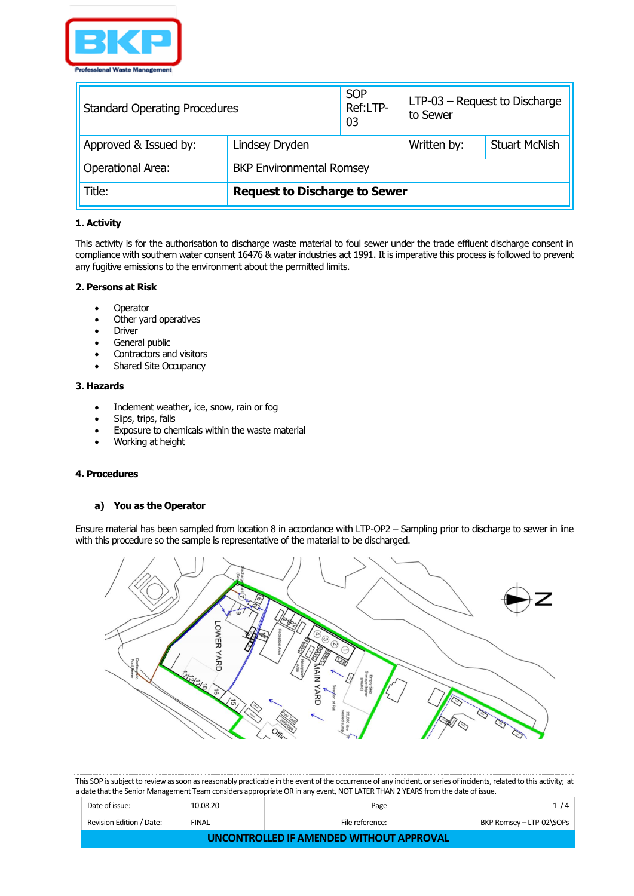

| <b>Standard Operating Procedures</b>                        | <b>SOP</b><br>Ref:LTP-<br>03         | to Sewer | $LTP-03$ – Request to Discharge |                      |
|-------------------------------------------------------------|--------------------------------------|----------|---------------------------------|----------------------|
| Approved & Issued by:                                       | Lindsey Dryden                       |          | Written by:                     | <b>Stuart McNish</b> |
| <b>BKP Environmental Romsey</b><br><b>Operational Area:</b> |                                      |          |                                 |                      |
| Title:                                                      | <b>Request to Discharge to Sewer</b> |          |                                 |                      |

## **1. Activity**

This activity is for the authorisation to discharge waste material to foul sewer under the trade effluent discharge consent in compliance with southern water consent 16476 & water industries act 1991. It is imperative this process is followed to prevent any fugitive emissions to the environment about the permitted limits.

### **2. Persons at Risk**

- Operator
- Other yard operatives
- **Driver**
- General public
- Contractors and visitors
- Shared Site Occupancy

### **3. Hazards**

- Inclement weather, ice, snow, rain or fog
- Slips, trips, falls
- Exposure to chemicals within the waste material
- Working at height

# **4. Procedures**

## **a) You as the Operator**

Ensure material has been sampled from location 8 in accordance with LTP-OP2 – Sampling prior to discharge to sewer in line with this procedure so the sample is representative of the material to be discharged.



| Date of issue:                           | 10.08.20     | Page            | 1/4                      |  |  |
|------------------------------------------|--------------|-----------------|--------------------------|--|--|
| Revision Edition / Date:                 | <b>FINAL</b> | File reference: | BKP Romsey - LTP-02\SOPs |  |  |
| UNCONTROLLED IF AMENDED WITHOUT APPROVAL |              |                 |                          |  |  |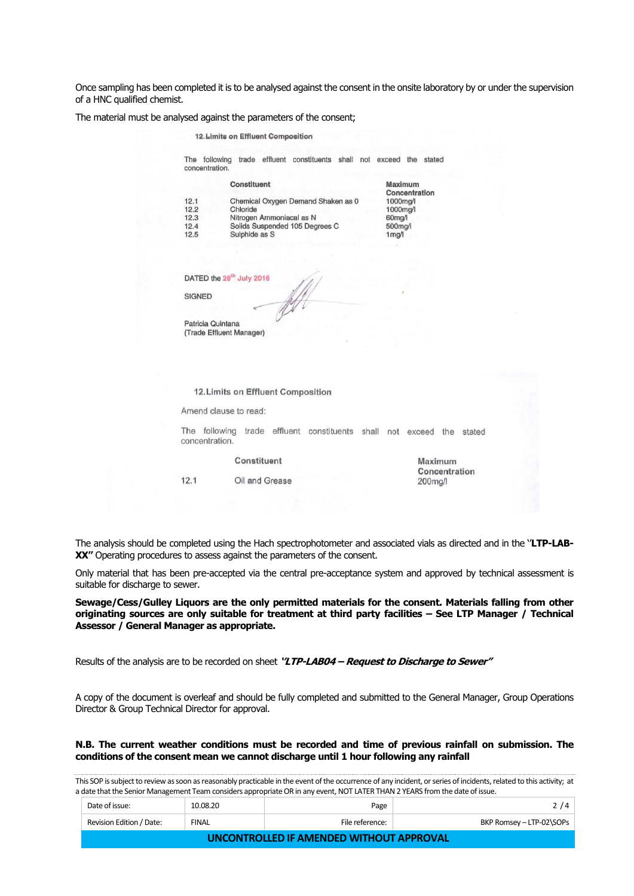Once sampling has been completed it is to be analysed against the consent in the onsite laboratory by or under the supervision of a HNC qualified chemist.

The material must be analysed against the parameters of the consent;

| 12. Limits on Effluent Composition |                                                                       |                          |                                    |  |                     |               |         |               |  |
|------------------------------------|-----------------------------------------------------------------------|--------------------------|------------------------------------|--|---------------------|---------------|---------|---------------|--|
| concentration.                     | The following trade effluent constituents shall not exceed the stated |                          |                                    |  |                     |               |         |               |  |
|                                    |                                                                       | <b>Constituent</b>       |                                    |  | Maximum             |               |         |               |  |
| 12.1                               |                                                                       |                          | Chemical Oxygen Demand Shaken as 0 |  | 1000ma/l            | Concentration |         |               |  |
| 12.2                               | Chloride                                                              |                          |                                    |  | 1000mg/l            |               |         |               |  |
| 12.3                               |                                                                       | Nitrogen Ammoniacal as N |                                    |  | 60 <sub>mq</sub> /l |               |         |               |  |
| 12.4                               |                                                                       |                          | Solids Suspended 105 Degrees C     |  | 500mg/l             |               |         |               |  |
| 12.5                               |                                                                       | Sulphide as S            |                                    |  | 1 <sub>mg</sub> /1  |               |         |               |  |
|                                    |                                                                       |                          |                                    |  |                     |               |         |               |  |
|                                    | DATED the 28 <sup>th</sup> July 2016                                  |                          |                                    |  |                     |               |         |               |  |
|                                    |                                                                       |                          |                                    |  |                     |               |         |               |  |
|                                    |                                                                       |                          |                                    |  |                     |               |         |               |  |
| <b>SIGNED</b>                      |                                                                       |                          |                                    |  |                     |               |         |               |  |
|                                    |                                                                       |                          |                                    |  |                     |               |         |               |  |
| Patricia Quintana                  |                                                                       |                          |                                    |  |                     |               |         |               |  |
|                                    | (Trade Effluent Manager)                                              |                          |                                    |  |                     |               |         |               |  |
|                                    |                                                                       |                          |                                    |  |                     |               |         |               |  |
|                                    |                                                                       |                          |                                    |  |                     |               |         |               |  |
|                                    |                                                                       |                          |                                    |  |                     |               |         |               |  |
|                                    | 12. Limits on Effluent Composition                                    |                          |                                    |  |                     |               |         |               |  |
|                                    | Amend clause to read:                                                 |                          |                                    |  |                     |               |         |               |  |
| concentration.                     | The following trade effluent constituents shall not exceed the stated |                          |                                    |  |                     |               |         |               |  |
|                                    |                                                                       | Constituent              |                                    |  |                     |               | Maximum | Concentration |  |

The analysis should be completed using the Hach spectrophotometer and associated vials as directed and in the ''**LTP-LAB-**XX<sup>'</sup>' Operating procedures to assess against the parameters of the consent.

Only material that has been pre-accepted via the central pre-acceptance system and approved by technical assessment is suitable for discharge to sewer.

**Sewage/Cess/Gulley Liquors are the only permitted materials for the consent. Materials falling from other originating sources are only suitable for treatment at third party facilities – See LTP Manager / Technical Assessor / General Manager as appropriate.**

Results of the analysis are to be recorded on sheet **''LTP-LAB04 – Request to Discharge to Sewer''**

A copy of the document is overleaf and should be fully completed and submitted to the General Manager, Group Operations Director & Group Technical Director for approval.

#### **N.B. The current weather conditions must be recorded and time of previous rainfall on submission. The conditions of the consent mean we cannot discharge until 1 hour following any rainfall**

| Date of issue:                           | 10.08.20     | Page            | 2/4                      |  |  |
|------------------------------------------|--------------|-----------------|--------------------------|--|--|
| Revision Edition / Date:                 | <b>FINAL</b> | File reference: | BKP Romsey - LTP-02\SOPs |  |  |
| UNCONTROLLED IF AMENDED WITHOUT APPROVAL |              |                 |                          |  |  |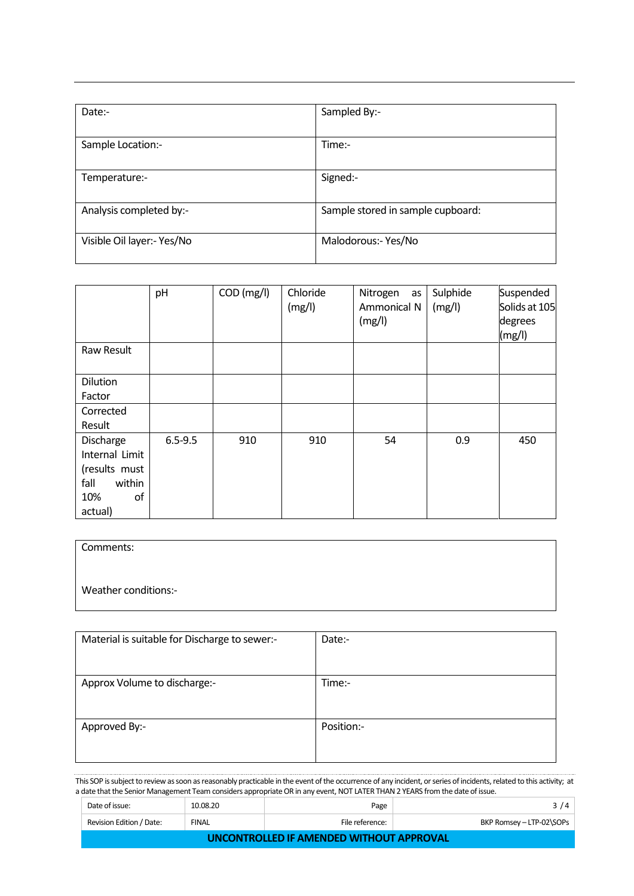| Date:-                     | Sampled By:-                      |
|----------------------------|-----------------------------------|
| Sample Location:-          | Time:-                            |
| Temperature:-              | Signed:-                          |
| Analysis completed by:-    | Sample stored in sample cupboard: |
| Visible Oil layer:- Yes/No | Malodorous:- Yes/No               |

|                                                                                        | pH          | COD (mg/l) | Chloride<br>(mg/l) | Nitrogen<br>as<br>Ammonical N<br>(mg/l) | Sulphide<br>(mg/l) | Suspended<br>Solids at 105<br>degrees<br>(mg/l) |
|----------------------------------------------------------------------------------------|-------------|------------|--------------------|-----------------------------------------|--------------------|-------------------------------------------------|
| Raw Result                                                                             |             |            |                    |                                         |                    |                                                 |
| Dilution<br>Factor                                                                     |             |            |                    |                                         |                    |                                                 |
| Corrected<br>Result                                                                    |             |            |                    |                                         |                    |                                                 |
| Discharge<br>Internal Limit<br>(results must<br>fall<br>within<br>10%<br>οf<br>actual) | $6.5 - 9.5$ | 910        | 910                | 54                                      | 0.9                | 450                                             |

| Comments:            |  |
|----------------------|--|
| Weather conditions:- |  |
|                      |  |

| Material is suitable for Discharge to sewer:- | Date:-     |
|-----------------------------------------------|------------|
| Approx Volume to discharge:-                  | Time:-     |
| Approved By:-                                 | Position:- |

| Date of issue:                           | 10.08.20     | Page            | 3/4                      |  |  |
|------------------------------------------|--------------|-----------------|--------------------------|--|--|
| Revision Edition / Date:                 | <b>FINAL</b> | File reference: | BKP Romsey - LTP-02\SOPs |  |  |
| UNCONTROLLED IF AMENDED WITHOUT APPROVAL |              |                 |                          |  |  |